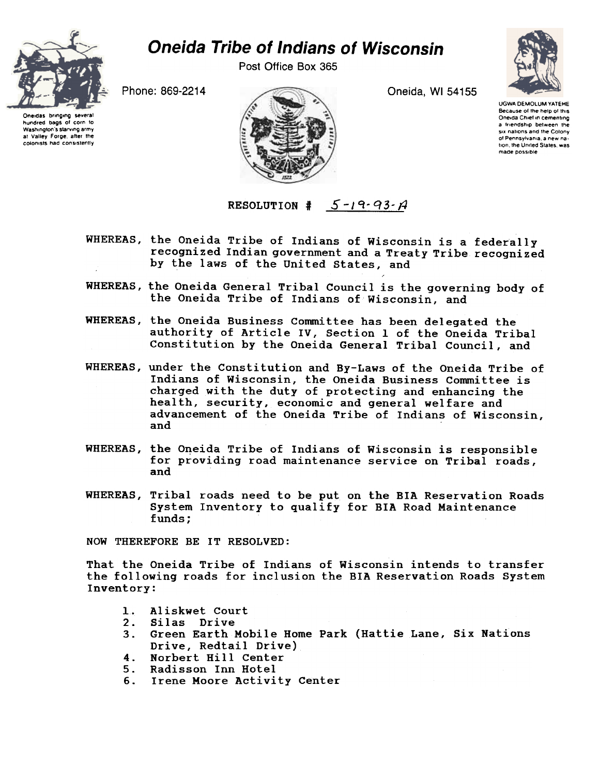

## **Oneida Tribe of Indians of Wisconsin**

Post Office Box 365

Oneida, WI 54155



**UGWA DEMOLUM YATEHE** Because of the help of this<br>Oneida Chief in cementing a friendship between the six nations and the Colony of Pennsylvania, a new nation, the United States, was made possible

Phone: 869-2214

Oneidas bringing several hundred bags of corn to Washington's starving army at Valley Forge, after the colonists had consistently

RESOLUTION #  $5 - 19 - 93 - A$ 

- WHEREAS, the Oneida Tribe of Indians of Wisconsin is a federally recognized Indian government and a Treaty Tribe recognized by the laws of the United States, and
- WHEREAS, the Oneida General Tribal Council is the governing body of the Oneida Tribe of Indians of Wisconsin, and
- WHEREAS, the Oneida Business Committee has been delegated the authority of Article IV, Section 1 of the Oneida Tribal Constitution by the Oneida General Tribal Council, and
- WHEREAS, under the Constitution and By-Laws of the Oneida Tribe of Indians of Wisconsin, the Oneida Business Committee is charged with the duty of protecting and enhancing the health, security, economic and general welfare and advancement of the Oneida Tribe of Indians of Wisconsin, and
- WHEREAS, the Oneida Tribe of Indians of Wisconsin is responsible for providing road maintenance service on Tribal roads, and
- WHEREAS, Tribal roads need to be put on the BIA Reservation Roads System Inventory to qualify for BIA Road Maintenance funds:

NOW THEREFORE BE IT RESOLVED:

That the Oneida Tribe of Indians of Wisconsin intends to transfer the following roads for inclusion the BIA Reservation Roads System Inventory:

- 1. Aliskwet Court
- Silas Drive  $2.$
- Green Earth Mobile Home Park (Hattie Lane, Six Nations  $3.$ Drive, Redtail Drive)
- 4. Norbert Hill Center
- 5. Radisson Inn Hotel
- Irene Moore Activity Center 6.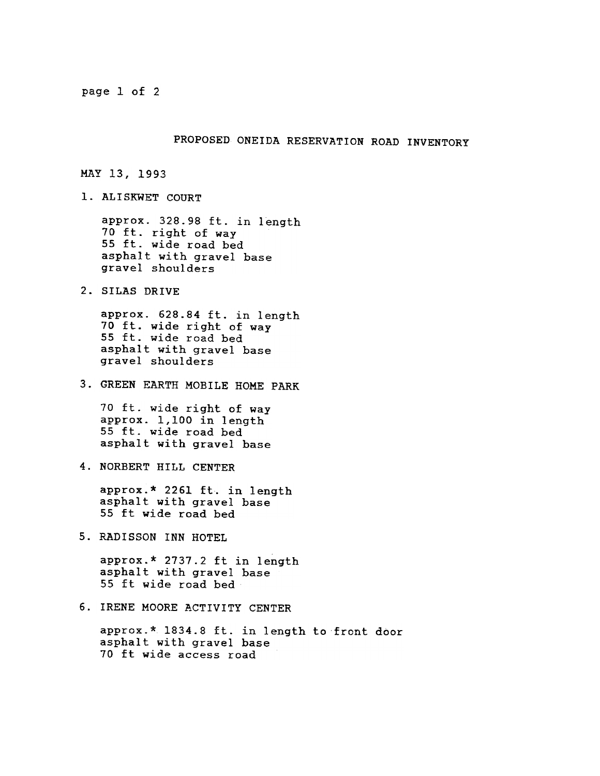page 1 of 2

## PROPOSED ONEIDA RESERVATION ROAD INVENTORY

MAY 13, 1993

1. ALISKWET COURT

approx. 328.98 ft. in length 70 ft. right of way 55 ft. wide road bed asphalt with gravel base gravel shoulders

2. SILAS DRIVE<br>
approx. 628<br>
70 ft. wide<br>
55 ft. wide<br>
asphalt with<br>
gravel shou<br>
3. GREEN EARTH<br>
70 ft. wide<br>
approx. 1,1<br>
55 ft. wide<br>
asphalt with<br>
4. NORBERT HIL<br>
approx.\* 22<br>
asphalt with<br>
55 ft wide<br>
5. RADISSON IN:<br> approx. 628.84 ft. in length 70 ft. wide right of way 55 ft. wide road bed asphalt with gravel base gravel shoulders

GREEN EARTH MOBILE HOME PARK

70 ft. wide right of way approx. 1,100 in length 55 ft. wide road bed asphalt with gravel base

4. NORBERT HILL CENTER

approx.\* 2261 ft. in length asphalt with gravel base 55 ft wide road bed

approx.\* 2737.2 ft in length asphalt with gravel base 55 ft wide road bed

5. RADISSON INN HOTEL<br>approx.\* 2737.2 ft<br>asphalt with gravel<br>55 ft wide road bec<br>6. IRENE MOORE ACTIVI?<br>approx.\* 1834.8 ft.<br>asphalt with gravel<br>70 ft wide access 1 6. IRENE MOORE ACTIVITY CENTER<br>approx.\* 1834.8 ft. in lengt<br>asphalt with gravel base<br>70 ft wide access road approx.\* 1834.8 ft. in length to front door asphalt with gravel base 70 ft wide access road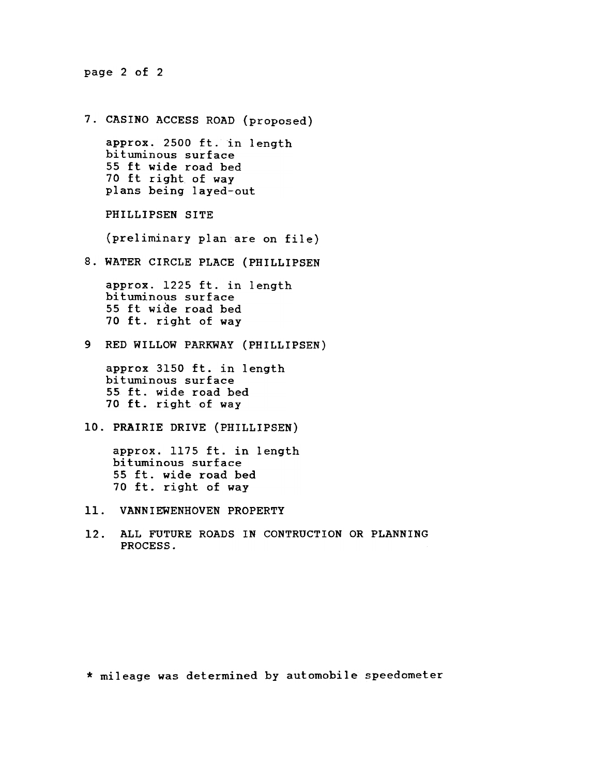page 2 of 2

CASINO ACCESS ROAD (proposed) approx. 2500 ft. in length bituminous surface 55 ft wide road bed 70 ft right of way plans being layed-out PHILLIPSEN SITE (preliminary plan are on file) 8. WATER CIRCLE PLACE (PHILLIPSE)<br>approx. 1225 ft. in length<br>bituminous surface<br>55 ft wide road bed<br>70 ft. right of way<br>9 RED WILLOW PARKWAY (PHILLIPSEN<br>approx 3150 ft. in length<br>55 ft. wide road bed<br>bituminous surface<br>55 approx. 1225 ft. in length bituminous surface 55 ft wide road bed 70 ft. right of way 9 RED WILLOW PARKWAY (PHILLIPSEN) approx 3150 ft. in length bituminous surface 55 ft. wide road bed 70 ft. right of way 10. PRAIRIE DRIVE (PHILLIPSEN) approx. 1175 ft. in length bituminous surface 55 ft. wide road bed 70 ft. right of way VANNIEWENHOVEN PROPERTY

12. ALL FUTURE ROADS IN CONTRUCTION OR PLANNING PROCESS.

\* mileage was determined by automobile speedometer